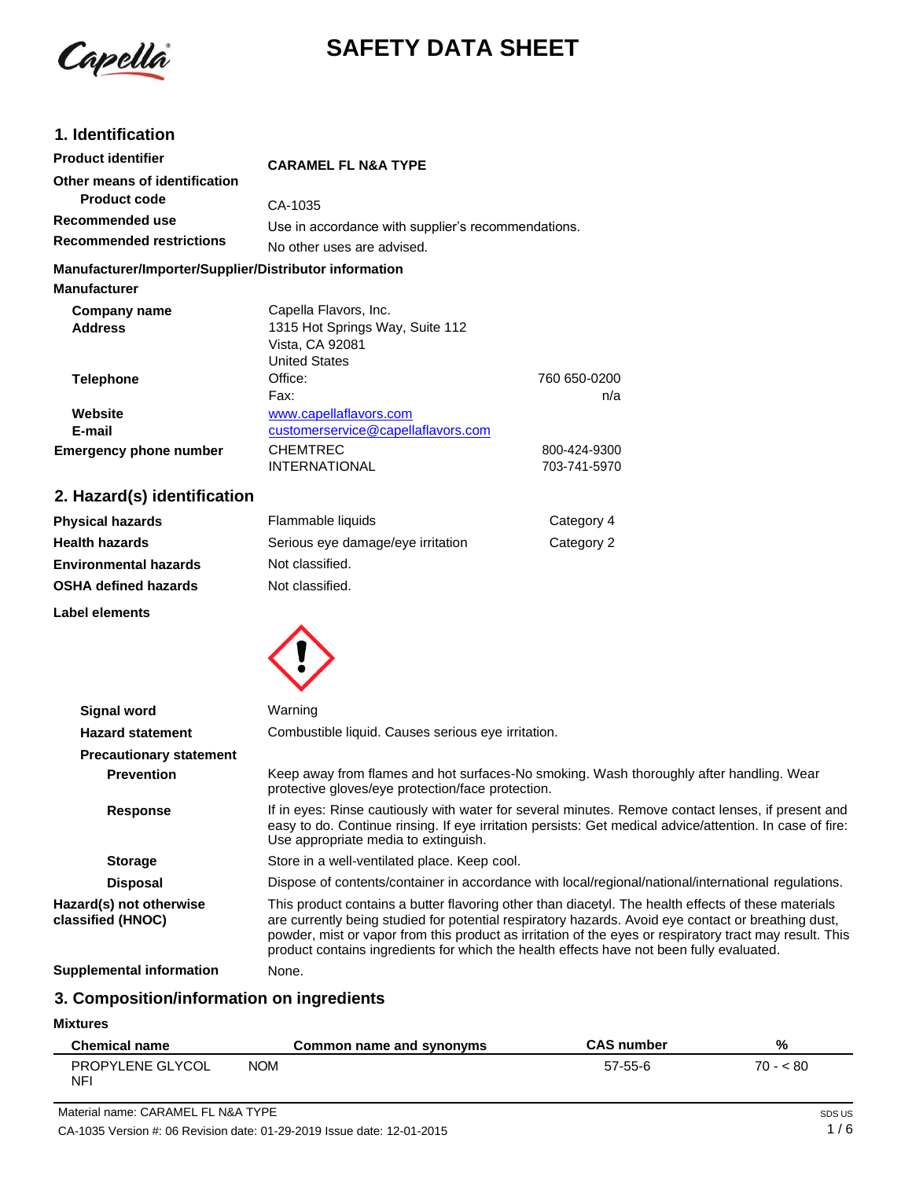Capella

# **SAFETY DATA SHEET**

# **1. Identification**

| <b>Product identifier</b>                              | <b>CARAMEL FL N&amp;A TYPE</b>                     |              |
|--------------------------------------------------------|----------------------------------------------------|--------------|
| Other means of identification                          |                                                    |              |
| <b>Product code</b>                                    | CA-1035                                            |              |
| Recommended use                                        | Use in accordance with supplier's recommendations. |              |
| <b>Recommended restrictions</b>                        | No other uses are advised.                         |              |
| Manufacturer/Importer/Supplier/Distributor information |                                                    |              |
| <b>Manufacturer</b>                                    |                                                    |              |
| Company name                                           | Capella Flavors, Inc.                              |              |
| <b>Address</b>                                         | 1315 Hot Springs Way, Suite 112                    |              |
|                                                        | Vista, CA 92081                                    |              |
|                                                        | <b>United States</b>                               |              |
| <b>Telephone</b>                                       | Office:                                            | 760 650-0200 |
|                                                        | Fax:                                               | n/a          |
| Website                                                | www.capellaflavors.com                             |              |
| E-mail                                                 | customerservice@capellaflavors.com                 |              |
| <b>Emergency phone number</b>                          | <b>CHEMTREC</b>                                    | 800-424-9300 |
|                                                        | <b>INTERNATIONAL</b>                               | 703-741-5970 |
|                                                        |                                                    |              |

# **2. Hazard(s) identification**

| <b>Physical hazards</b>      | Flammable liquids                 | Category 4 |
|------------------------------|-----------------------------------|------------|
| <b>Health hazards</b>        | Serious eye damage/eye irritation | Category 2 |
| <b>Environmental hazards</b> | Not classified.                   |            |
| <b>OSHA defined hazards</b>  | Not classified.                   |            |
|                              |                                   |            |

**Label elements**



| <b>Signal word</b>                           | Warning                                                                                                                                                                                                                                                                                                                                                                                                           |  |
|----------------------------------------------|-------------------------------------------------------------------------------------------------------------------------------------------------------------------------------------------------------------------------------------------------------------------------------------------------------------------------------------------------------------------------------------------------------------------|--|
| <b>Hazard statement</b>                      | Combustible liquid. Causes serious eye irritation.                                                                                                                                                                                                                                                                                                                                                                |  |
| <b>Precautionary statement</b>               |                                                                                                                                                                                                                                                                                                                                                                                                                   |  |
| <b>Prevention</b>                            | Keep away from flames and hot surfaces-No smoking. Wash thoroughly after handling. Wear<br>protective gloves/eye protection/face protection.                                                                                                                                                                                                                                                                      |  |
| <b>Response</b>                              | If in eyes: Rinse cautiously with water for several minutes. Remove contact lenses, if present and<br>easy to do. Continue rinsing. If eye irritation persists: Get medical advice/attention. In case of fire:<br>Use appropriate media to extinguish.                                                                                                                                                            |  |
| <b>Storage</b>                               | Store in a well-ventilated place. Keep cool.                                                                                                                                                                                                                                                                                                                                                                      |  |
| <b>Disposal</b>                              | Dispose of contents/container in accordance with local/regional/national/international regulations.                                                                                                                                                                                                                                                                                                               |  |
| Hazard(s) not otherwise<br>classified (HNOC) | This product contains a butter flavoring other than diacetyl. The health effects of these materials<br>are currently being studied for potential respiratory hazards. Avoid eye contact or breathing dust,<br>powder, mist or vapor from this product as irritation of the eyes or respiratory tract may result. This<br>product contains ingredients for which the health effects have not been fully evaluated. |  |
| Supplemental information                     | None.                                                                                                                                                                                                                                                                                                                                                                                                             |  |

# **3. Composition/information on ingredients**

**Mixtures**

| <b>Chemical name</b>           | Common name and synonyms | <b>CAS number</b> | %         |
|--------------------------------|--------------------------|-------------------|-----------|
| PROPYLENE GLYCOL<br><b>NFI</b> | <b>NOM</b>               | 57-55-6           | $70 - 80$ |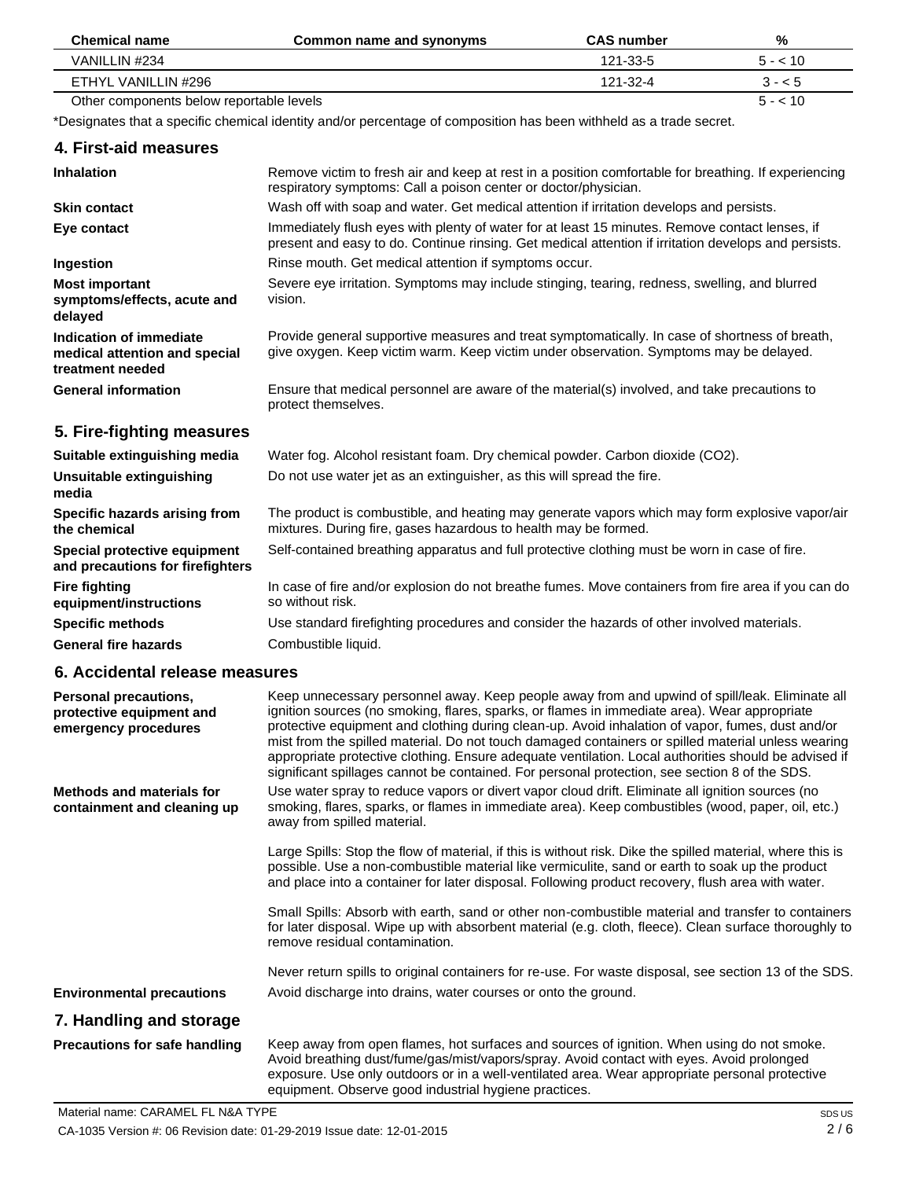| <b>Chemical name</b>                     | Common name and synonyms | <b>CAS number</b> | %        |
|------------------------------------------|--------------------------|-------------------|----------|
| VANILLIN #234                            |                          | 121-33-5          | $5 - 10$ |
| ETHYL VANILLIN #296                      |                          | 121-32-4          | $3 - 5$  |
| Other components below reportable levels |                          |                   | $5 - 10$ |

\*Designates that a specific chemical identity and/or percentage of composition has been withheld as a trade secret.

| 4. First-aid measures                                                        |                                                                                                                                                                                                        |
|------------------------------------------------------------------------------|--------------------------------------------------------------------------------------------------------------------------------------------------------------------------------------------------------|
| <b>Inhalation</b>                                                            | Remove victim to fresh air and keep at rest in a position comfortable for breathing. If experiencing<br>respiratory symptoms: Call a poison center or doctor/physician.                                |
| <b>Skin contact</b>                                                          | Wash off with soap and water. Get medical attention if irritation develops and persists.                                                                                                               |
| Eye contact                                                                  | Immediately flush eyes with plenty of water for at least 15 minutes. Remove contact lenses, if<br>present and easy to do. Continue rinsing. Get medical attention if irritation develops and persists. |
| Ingestion                                                                    | Rinse mouth. Get medical attention if symptoms occur.                                                                                                                                                  |
| <b>Most important</b><br>symptoms/effects, acute and<br>delayed              | Severe eye irritation. Symptoms may include stinging, tearing, redness, swelling, and blurred<br>vision.                                                                                               |
| Indication of immediate<br>medical attention and special<br>treatment needed | Provide general supportive measures and treat symptomatically. In case of shortness of breath,<br>give oxygen. Keep victim warm. Keep victim under observation. Symptoms may be delayed.               |
| <b>General information</b>                                                   | Ensure that medical personnel are aware of the material(s) involved, and take precautions to<br>protect themselves.                                                                                    |
| 5. Fire-fighting measures                                                    |                                                                                                                                                                                                        |
| Suitable extinguishing media                                                 | Water fog. Alcohol resistant foam. Dry chemical powder. Carbon dioxide (CO2).                                                                                                                          |

# **Suitable extinguishing media**

| Unsuitable extinguishing<br>media                                | Do not use water jet as an extinguisher, as this will spread the fire.                                                                                            |
|------------------------------------------------------------------|-------------------------------------------------------------------------------------------------------------------------------------------------------------------|
| Specific hazards arising from<br>the chemical                    | The product is combustible, and heating may generate vapors which may form explosive vapor/air<br>mixtures. During fire, gases hazardous to health may be formed. |
| Special protective equipment<br>and precautions for firefighters | Self-contained breathing apparatus and full protective clothing must be worn in case of fire.                                                                     |
| <b>Fire fighting</b><br>equipment/instructions                   | In case of fire and/or explosion do not breathe fumes. Move containers from fire area if you can do<br>so without risk.                                           |
| <b>Specific methods</b>                                          | Use standard firefighting procedures and consider the hazards of other involved materials.                                                                        |
| <b>General fire hazards</b>                                      | Combustible liquid.                                                                                                                                               |

# **6. Accidental release measures**

| Personal precautions,<br>protective equipment and<br>emergency procedures | Keep unnecessary personnel away. Keep people away from and upwind of spill/leak. Eliminate all<br>ignition sources (no smoking, flares, sparks, or flames in immediate area). Wear appropriate<br>protective equipment and clothing during clean-up. Avoid inhalation of vapor, fumes, dust and/or<br>mist from the spilled material. Do not touch damaged containers or spilled material unless wearing<br>appropriate protective clothing. Ensure adequate ventilation. Local authorities should be advised if<br>significant spillages cannot be contained. For personal protection, see section 8 of the SDS. |
|---------------------------------------------------------------------------|-------------------------------------------------------------------------------------------------------------------------------------------------------------------------------------------------------------------------------------------------------------------------------------------------------------------------------------------------------------------------------------------------------------------------------------------------------------------------------------------------------------------------------------------------------------------------------------------------------------------|
| Methods and materials for<br>containment and cleaning up                  | Use water spray to reduce vapors or divert vapor cloud drift. Eliminate all ignition sources (no<br>smoking, flares, sparks, or flames in immediate area). Keep combustibles (wood, paper, oil, etc.)<br>away from spilled material.                                                                                                                                                                                                                                                                                                                                                                              |
|                                                                           | Large Spills: Stop the flow of material, if this is without risk. Dike the spilled material, where this is<br>possible. Use a non-combustible material like vermiculite, sand or earth to soak up the product<br>and place into a container for later disposal. Following product recovery, flush area with water.                                                                                                                                                                                                                                                                                                |
|                                                                           | Small Spills: Absorb with earth, sand or other non-combustible material and transfer to containers<br>for later disposal. Wipe up with absorbent material (e.g. cloth, fleece). Clean surface thoroughly to<br>remove residual contamination.                                                                                                                                                                                                                                                                                                                                                                     |
|                                                                           | Never return spills to original containers for re-use. For waste disposal, see section 13 of the SDS.                                                                                                                                                                                                                                                                                                                                                                                                                                                                                                             |
| <b>Environmental precautions</b>                                          | Avoid discharge into drains, water courses or onto the ground.                                                                                                                                                                                                                                                                                                                                                                                                                                                                                                                                                    |
| 7. Handling and storage                                                   |                                                                                                                                                                                                                                                                                                                                                                                                                                                                                                                                                                                                                   |
| Precautions for safe handling                                             | Keep away from open flames, hot surfaces and sources of ignition. When using do not smoke.<br>Avoid breathing dust/fume/gas/mist/vapors/spray. Avoid contact with eyes. Avoid prolonged<br>exposure. Use only outdoors or in a well-ventilated area. Wear appropriate personal protective<br>equipment. Observe good industrial hygiene practices.                                                                                                                                                                                                                                                                |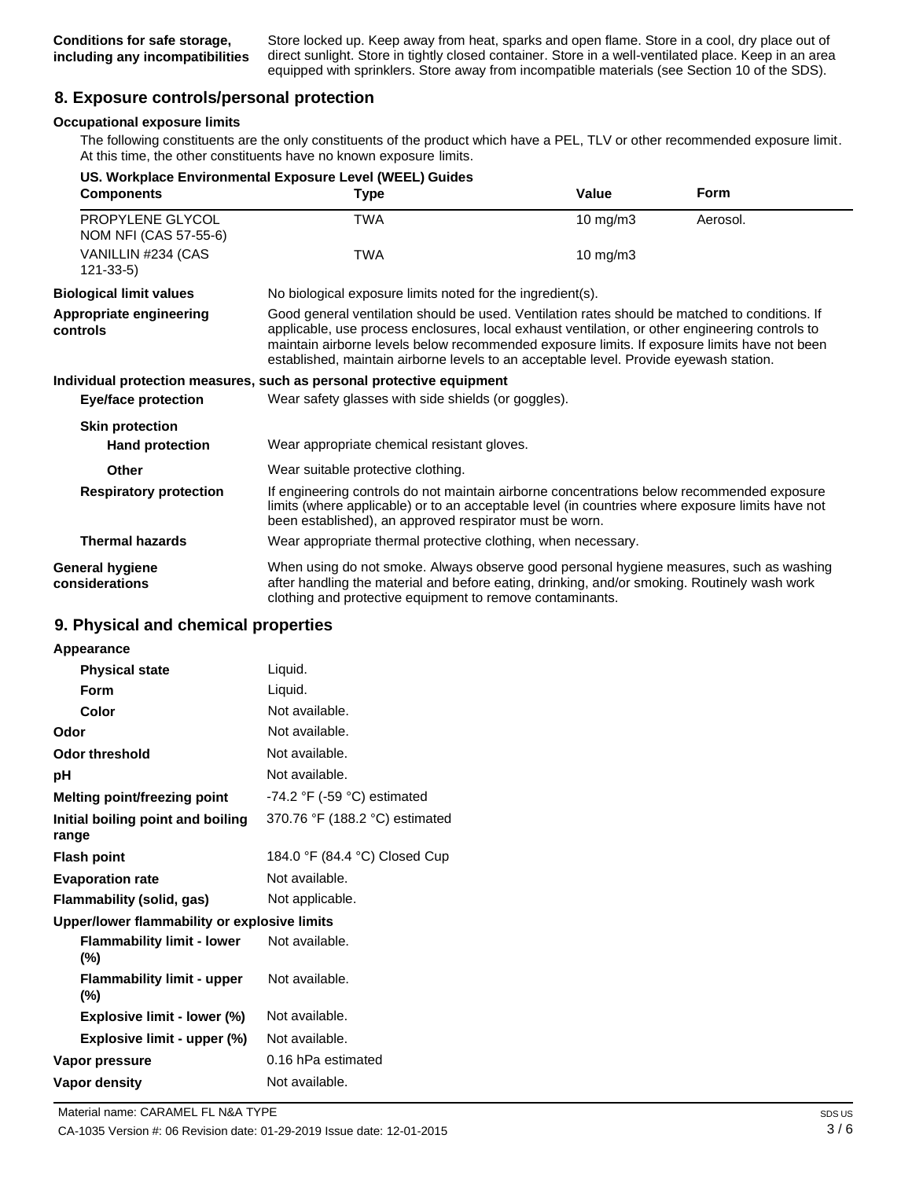Store locked up. Keep away from heat, sparks and open flame. Store in a cool, dry place out of direct sunlight. Store in tightly closed container. Store in a well-ventilated place. Keep in an area equipped with sprinklers. Store away from incompatible materials (see Section 10 of the SDS).

# **8. Exposure controls/personal protection**

### **Occupational exposure limits**

The following constituents are the only constituents of the product which have a PEL, TLV or other recommended exposure limit. At this time, the other constituents have no known exposure limits.

|                                           | US. Workplace Environmental Exposure Level (WEEL) Guides                                                                                                                                                                                                                                                                                                                                    |                                                            |             |  |
|-------------------------------------------|---------------------------------------------------------------------------------------------------------------------------------------------------------------------------------------------------------------------------------------------------------------------------------------------------------------------------------------------------------------------------------------------|------------------------------------------------------------|-------------|--|
| <b>Components</b>                         | <b>Type</b>                                                                                                                                                                                                                                                                                                                                                                                 | Value                                                      | <b>Form</b> |  |
| PROPYLENE GLYCOL<br>NOM NFI (CAS 57-55-6) | TWA                                                                                                                                                                                                                                                                                                                                                                                         | 10 mg/m $3$                                                | Aerosol.    |  |
| VANILLIN #234 (CAS<br>$121 - 33 - 5$      | TWA                                                                                                                                                                                                                                                                                                                                                                                         | 10 mg/m $3$                                                |             |  |
| <b>Biological limit values</b>            |                                                                                                                                                                                                                                                                                                                                                                                             | No biological exposure limits noted for the ingredient(s). |             |  |
| Appropriate engineering<br>controls       | Good general ventilation should be used. Ventilation rates should be matched to conditions. If<br>applicable, use process enclosures, local exhaust ventilation, or other engineering controls to<br>maintain airborne levels below recommended exposure limits. If exposure limits have not been<br>established, maintain airborne levels to an acceptable level. Provide eyewash station. |                                                            |             |  |
|                                           | Individual protection measures, such as personal protective equipment                                                                                                                                                                                                                                                                                                                       |                                                            |             |  |
| Eye/face protection                       | Wear safety glasses with side shields (or goggles).                                                                                                                                                                                                                                                                                                                                         |                                                            |             |  |
| <b>Skin protection</b>                    |                                                                                                                                                                                                                                                                                                                                                                                             |                                                            |             |  |
| <b>Hand protection</b>                    | Wear appropriate chemical resistant gloves.                                                                                                                                                                                                                                                                                                                                                 |                                                            |             |  |
| Other                                     | Wear suitable protective clothing.                                                                                                                                                                                                                                                                                                                                                          |                                                            |             |  |
| <b>Respiratory protection</b>             | If engineering controls do not maintain airborne concentrations below recommended exposure<br>limits (where applicable) or to an acceptable level (in countries where exposure limits have not<br>been established), an approved respirator must be worn.                                                                                                                                   |                                                            |             |  |
| <b>Thermal hazards</b>                    | Wear appropriate thermal protective clothing, when necessary.                                                                                                                                                                                                                                                                                                                               |                                                            |             |  |
| <b>General hygiene</b><br>considerations  | When using do not smoke. Always observe good personal hygiene measures, such as washing<br>after handling the material and before eating, drinking, and/or smoking. Routinely wash work<br>clothing and protective equipment to remove contaminants.                                                                                                                                        |                                                            |             |  |

### **9. Physical and chemical properties**

| <b>Appearance</b> |
|-------------------|
|-------------------|

| <b>Physical state</b>                        | Liquid.                                       |
|----------------------------------------------|-----------------------------------------------|
| Form                                         | Liquid.                                       |
| Color                                        | Not available.                                |
| Odor                                         | Not available.                                |
| Odor threshold                               | Not available.                                |
| рH                                           | Not available.                                |
| Melting point/freezing point                 | -74.2 $\degree$ F (-59 $\degree$ C) estimated |
| Initial boiling point and boiling<br>range   | 370.76 °F (188.2 °C) estimated                |
| <b>Flash point</b>                           | 184.0 °F (84.4 °C) Closed Cup                 |
| <b>Evaporation rate</b>                      | Not available.                                |
| Flammability (solid, gas)                    | Not applicable.                               |
| Upper/lower flammability or explosive limits |                                               |
| <b>Flammability limit - lower</b><br>(%)     | Not available.                                |
| <b>Flammability limit - upper</b><br>(%)     | Not available.                                |
| Explosive limit - lower (%)                  | Not available.                                |
| Explosive limit - upper (%)                  | Not available.                                |
| Vapor pressure                               | 0.16 hPa estimated                            |
| Vapor density                                | Not available.                                |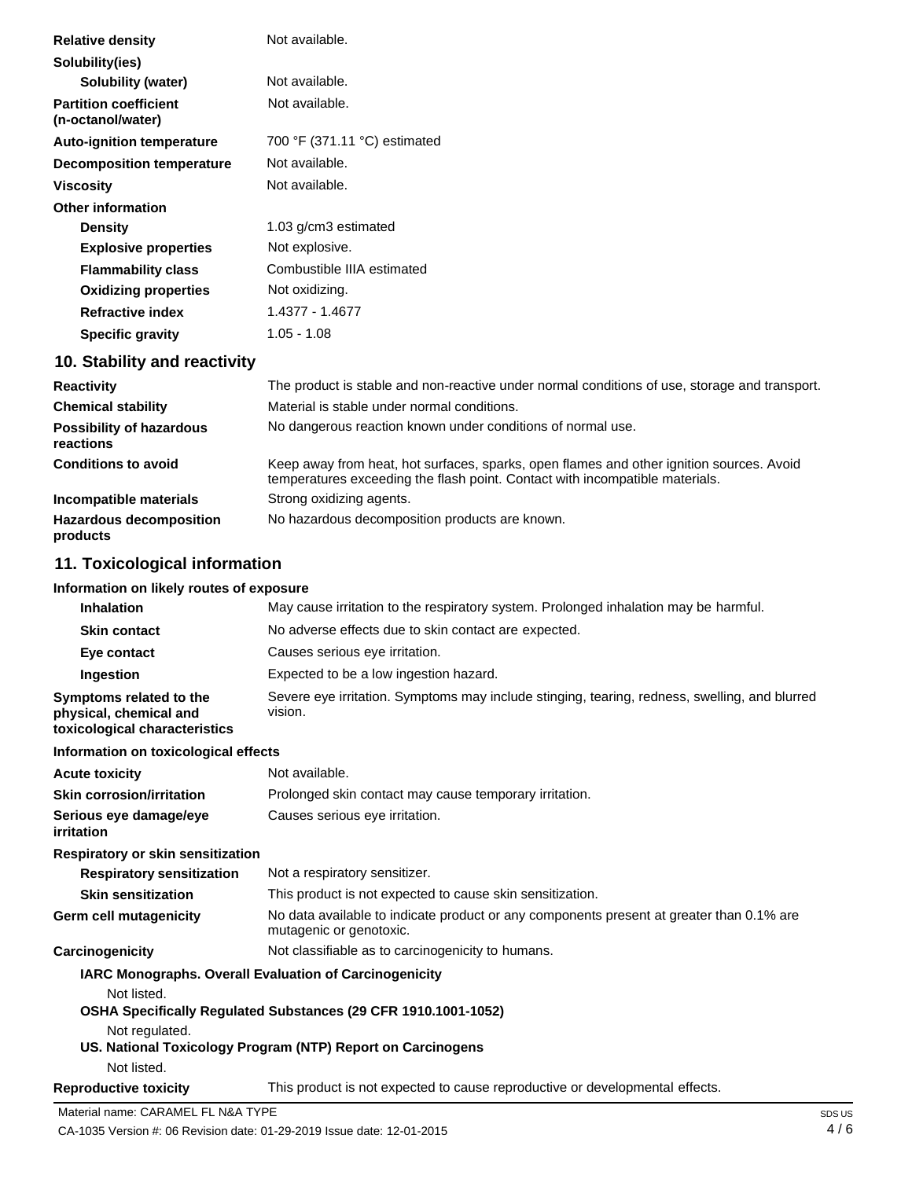| <b>Relative density</b>                           | Not available.               |
|---------------------------------------------------|------------------------------|
| Solubility(ies)                                   |                              |
| Solubility (water)                                | Not available.               |
| <b>Partition coefficient</b><br>(n-octanol/water) | Not available.               |
| <b>Auto-ignition temperature</b>                  | 700 °F (371.11 °C) estimated |
| <b>Decomposition temperature</b>                  | Not available.               |
| <b>Viscosity</b>                                  | Not available.               |
| <b>Other information</b>                          |                              |
| <b>Density</b>                                    | 1.03 g/cm3 estimated         |
| <b>Explosive properties</b>                       | Not explosive.               |
| <b>Flammability class</b>                         | Combustible IIIA estimated   |
| <b>Oxidizing properties</b>                       | Not oxidizing.               |
| <b>Refractive index</b>                           | 1.4377 - 1.4677              |
| <b>Specific gravity</b>                           | 1.05 - 1.08                  |

# **10. Stability and reactivity**

| <b>Reactivity</b>                            | The product is stable and non-reactive under normal conditions of use, storage and transport.                                                                            |
|----------------------------------------------|--------------------------------------------------------------------------------------------------------------------------------------------------------------------------|
| <b>Chemical stability</b>                    | Material is stable under normal conditions.                                                                                                                              |
| <b>Possibility of hazardous</b><br>reactions | No dangerous reaction known under conditions of normal use.                                                                                                              |
| <b>Conditions to avoid</b>                   | Keep away from heat, hot surfaces, sparks, open flames and other ignition sources. Avoid<br>temperatures exceeding the flash point. Contact with incompatible materials. |
| Incompatible materials                       | Strong oxidizing agents.                                                                                                                                                 |
| <b>Hazardous decomposition</b><br>products   | No hazardous decomposition products are known.                                                                                                                           |

# **11. Toxicological information**

# **Information on likely routes of exposure**

| <b>Inhalation</b>                                                                  | May cause irritation to the respiratory system. Prolonged inhalation may be harmful.                                |  |  |
|------------------------------------------------------------------------------------|---------------------------------------------------------------------------------------------------------------------|--|--|
| <b>Skin contact</b>                                                                | No adverse effects due to skin contact are expected.                                                                |  |  |
| Eye contact                                                                        | Causes serious eye irritation.                                                                                      |  |  |
| Ingestion                                                                          | Expected to be a low ingestion hazard.                                                                              |  |  |
| Symptoms related to the<br>physical, chemical and<br>toxicological characteristics | Severe eye irritation. Symptoms may include stinging, tearing, redness, swelling, and blurred<br>vision.            |  |  |
| Information on toxicological effects                                               |                                                                                                                     |  |  |
| <b>Acute toxicity</b>                                                              | Not available.                                                                                                      |  |  |
| <b>Skin corrosion/irritation</b>                                                   | Prolonged skin contact may cause temporary irritation.                                                              |  |  |
| Serious eye damage/eye<br>irritation                                               | Causes serious eye irritation.                                                                                      |  |  |
| Respiratory or skin sensitization                                                  |                                                                                                                     |  |  |
| <b>Respiratory sensitization</b>                                                   | Not a respiratory sensitizer.                                                                                       |  |  |
| <b>Skin sensitization</b>                                                          | This product is not expected to cause skin sensitization.                                                           |  |  |
| Germ cell mutagenicity                                                             | No data available to indicate product or any components present at greater than 0.1% are<br>mutagenic or genotoxic. |  |  |
| Carcinogenicity                                                                    | Not classifiable as to carcinogenicity to humans.                                                                   |  |  |
|                                                                                    | IARC Monographs. Overall Evaluation of Carcinogenicity                                                              |  |  |
| Not listed.                                                                        |                                                                                                                     |  |  |
|                                                                                    | OSHA Specifically Regulated Substances (29 CFR 1910.1001-1052)                                                      |  |  |
| Not regulated.                                                                     |                                                                                                                     |  |  |
| Not listed.                                                                        | US. National Toxicology Program (NTP) Report on Carcinogens                                                         |  |  |
| <b>Reproductive toxicity</b>                                                       | This product is not expected to cause reproductive or developmental effects.                                        |  |  |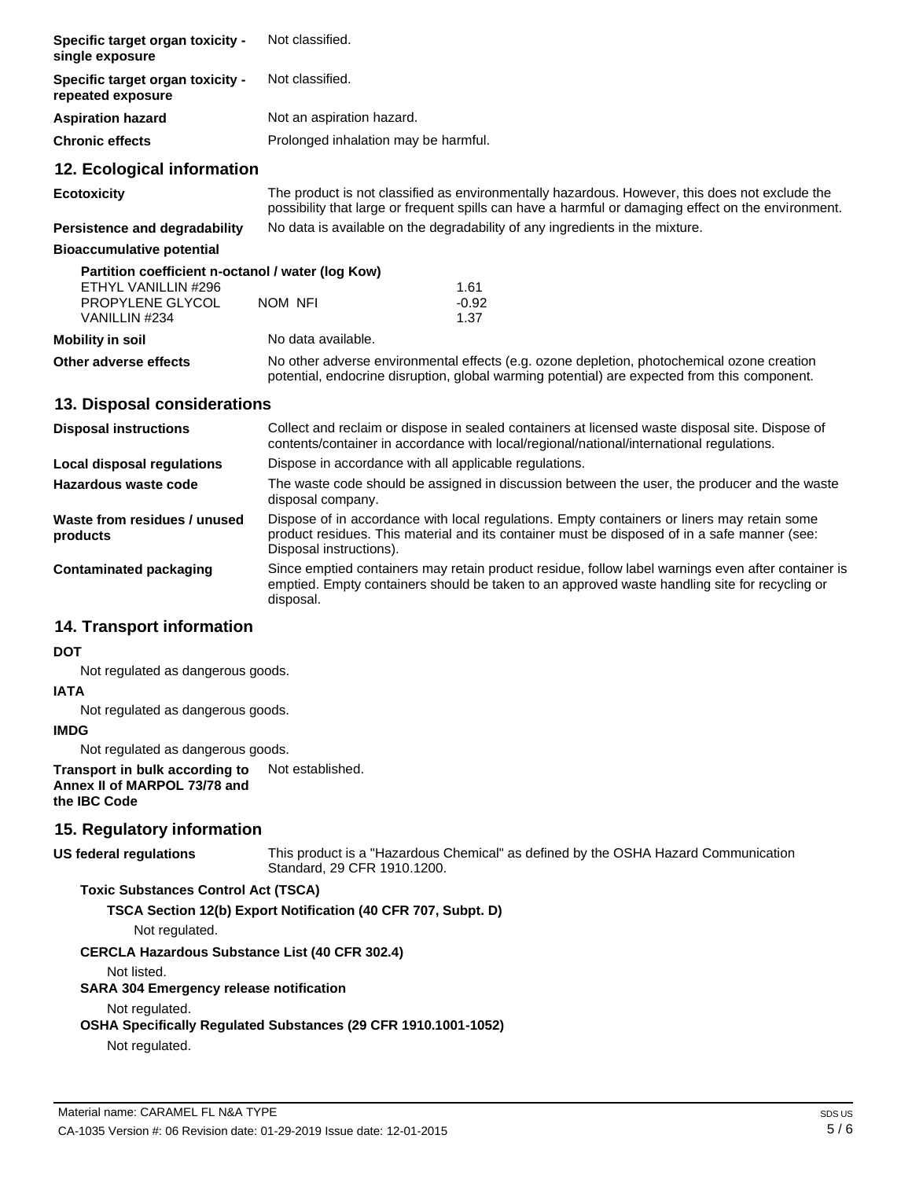| <b>Specific target organ toxicity -</b><br>single exposure   | Not classified.                                                                                                                                                                                       |         |  |
|--------------------------------------------------------------|-------------------------------------------------------------------------------------------------------------------------------------------------------------------------------------------------------|---------|--|
| <b>Specific target organ toxicity -</b><br>repeated exposure | Not classified.                                                                                                                                                                                       |         |  |
| Aspiration hazard                                            | Not an aspiration hazard.                                                                                                                                                                             |         |  |
| Chronic effects                                              | Prolonged inhalation may be harmful.                                                                                                                                                                  |         |  |
| 12. Ecological information                                   |                                                                                                                                                                                                       |         |  |
| Ecotoxicity                                                  | The product is not classified as environmentally hazardous. However, this does not exclude the<br>possibility that large or frequent spills can have a harmful or damaging effect on the environment. |         |  |
| <b>Persistence and degradability</b>                         | No data is available on the degradability of any ingredients in the mixture.                                                                                                                          |         |  |
| <b>Bioaccumulative potential</b>                             |                                                                                                                                                                                                       |         |  |
| Partition coefficient n-octanol / water (log Kow)            |                                                                                                                                                                                                       |         |  |
| ETHYL VANILLIN #296                                          |                                                                                                                                                                                                       | 1.61    |  |
| <b>PROPYLENE GLYCOL</b>                                      | NOM NFI                                                                                                                                                                                               | $-0.92$ |  |
| VANILLIN #234                                                |                                                                                                                                                                                                       | 1.37    |  |
| Mobility in soil                                             | No data available.                                                                                                                                                                                    |         |  |
| Other adverse effects                                        | No other adverse environmental effects (e.g. ozone depletion, photochemical ozone creation<br>potential, endocrine disruption, global warming potential) are expected from this component.            |         |  |

## **13. Disposal considerations**

| <b>Disposal instructions</b>             | Collect and reclaim or dispose in sealed containers at licensed waste disposal site. Dispose of<br>contents/container in accordance with local/regional/national/international regulations.                            |
|------------------------------------------|------------------------------------------------------------------------------------------------------------------------------------------------------------------------------------------------------------------------|
| Local disposal regulations               | Dispose in accordance with all applicable regulations.                                                                                                                                                                 |
| Hazardous waste code                     | The waste code should be assigned in discussion between the user, the producer and the waste<br>disposal company.                                                                                                      |
| Waste from residues / unused<br>products | Dispose of in accordance with local regulations. Empty containers or liners may retain some<br>product residues. This material and its container must be disposed of in a safe manner (see:<br>Disposal instructions). |
| Contaminated packaging                   | Since emptied containers may retain product residue, follow label warnings even after container is<br>emptied. Empty containers should be taken to an approved waste handling site for recycling or<br>disposal.       |

# **14. Transport information**

## **DOT**

Not regulated as dangerous goods.

### **IATA**

Not regulated as dangerous goods.

# **IMDG**

Not regulated as dangerous goods.

**Transport in bulk according to Annex II of MARPOL 73/78 and the IBC Code** Not established.

# **15. Regulatory information**

### **US federal regulations**

This product is a "Hazardous Chemical" as defined by the OSHA Hazard Communication Standard, 29 CFR 1910.1200.

### **Toxic Substances Control Act (TSCA)**

**TSCA Section 12(b) Export Notification (40 CFR 707, Subpt. D)**

Not regulated.

#### **CERCLA Hazardous Substance List (40 CFR 302.4)**

Not listed.

#### **SARA 304 Emergency release notification**

Not regulated.

**OSHA Specifically Regulated Substances (29 CFR 1910.1001-1052)**

Not regulated.